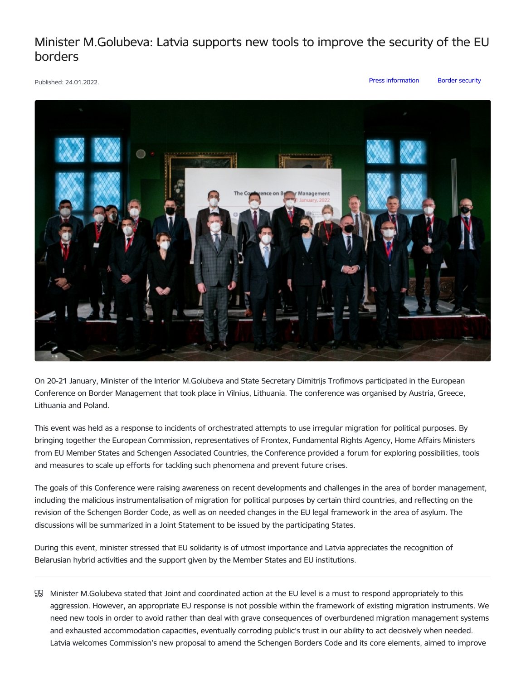## Minister M.Golubeva: Latvia supports new tools to improve the security of the EU borders

Published: 24.01.2022. Press [information](https://www.iem.gov.lv/en/articles?category%255B88%255D=88) Border [security](https://www.iem.gov.lv/en/articles?category%255B657%255D=657)



On 20-21 January, Minister of the Interior M.Golubeva and State Secretary Dimitrijs Trofimovs participated in the European Conference on Border Management that took place in Vilnius, Lithuania. The conference was organised by Austria, Greece, Lithuania and Poland.

This event was held as a response to incidents of orchestrated attempts to use irregular migration for political purposes. By bringing together the European Commission, representatives of Frontex, Fundamental Rights Agency, Home Affairs Ministers from EU Member States and Schengen Associated Countries, the Conference provided a forum for exploring possibilities, tools and measures to scale up efforts for tackling such phenomena and prevent future crises.

The goals of this Conference were raising awareness on recent developments and challenges in the area of border management, including the malicious instrumentalisation of migration for political purposes by certain third countries, and reflecting on the revision of the Schengen Border Code, as well as on needed changes in the EU legal framework in the area of asylum. The discussions will be summarized in a Joint Statement to be issued by the participating States.

During this event, minister stressed that EU solidarity is of utmost importance and Latvia appreciates the recognition of Belarusian hybrid activities and the support given by the Member States and EU institutions.

Minister M.Golubeva stated that Joint and coordinated action at the EU level is a must to respond appropriately to this aggression. However, an appropriate EU response is not possible within the framework of existing migration instruments. We need new tools in order to avoid rather than deal with grave consequences of overburdened migration management systems and exhausted accommodation capacities, eventually corroding public's trust in our ability to act decisively when needed. Latvia welcomes Commission's new proposal to amend the Schengen Borders Code and its core elements, aimed to improve